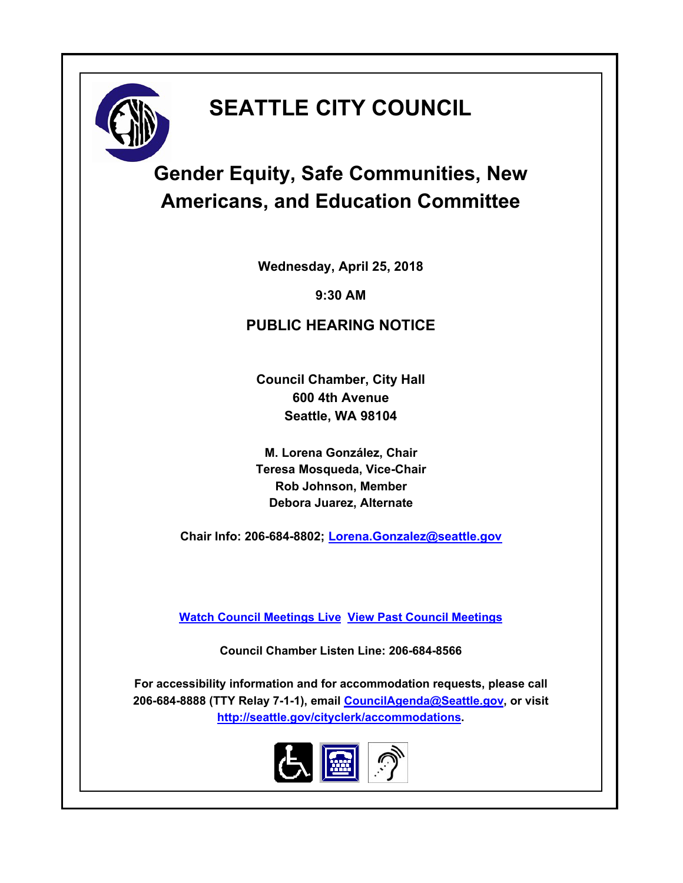# **SEATTLE CITY COUNCIL**



**Wednesday, April 25, 2018**

**9:30 AM**

#### **PUBLIC HEARING NOTICE**

**Council Chamber, City Hall 600 4th Avenue Seattle, WA 98104**

**M. Lorena González, Chair Teresa Mosqueda, Vice-Chair Rob Johnson, Member Debora Juarez, Alternate**

**Chair Info: 206-684-8802; [Lorena.Gonzalez@seattle.gov](mailto:Lorena.Gonzalez@seattle.gov)**

**[Watch Council Meetings Live](http://www.seattle.gov/council/councillive.htm) [View Past Council Meetings](http://www.seattlechannel.org/videos/browseVideos.asp?topic=council)**

**Council Chamber Listen Line: 206-684-8566**

**For accessibility information and for accommodation requests, please call 206-684-8888 (TTY Relay 7-1-1), email [CouncilAgenda@Seattle.gov](mailto: CouncilAgenda@Seattle.gov), or visit <http://seattle.gov/cityclerk/accommodations>.**

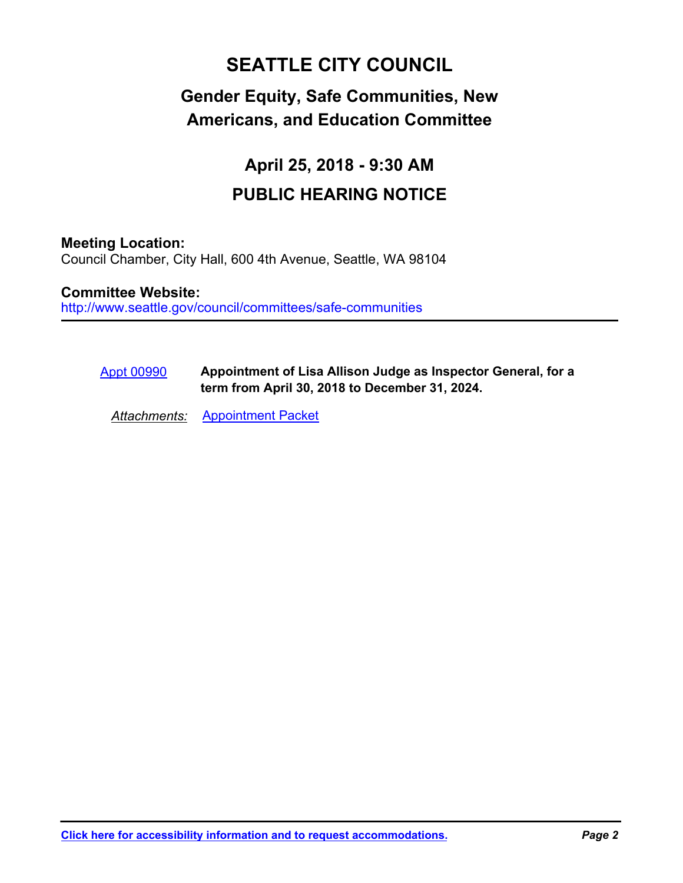## **SEATTLE CITY COUNCIL**

### **Gender Equity, Safe Communities, New Americans, and Education Committee**

## **April 25, 2018 - 9:30 AM PUBLIC HEARING NOTICE**

#### **Meeting Location:**

Council Chamber, City Hall, 600 4th Avenue, Seattle, WA 98104

http://www.seattle.gov/council/committees/safe-communities **Committee Website:**

#### **Appointment of Lisa Allison Judge as Inspector General, for a term from April 30, 2018 to December 31, 2024.** [Appt 00990](http://seattle.legistar.com/gateway.aspx?m=l&id=/matter.aspx?key=7028)

*Attachments:* [Appointment Packet](http://seattle.legistar.com/gateway.aspx?M=F&ID=73519607-a37a-4543-bb52-2ff6fc5482de.pdf)